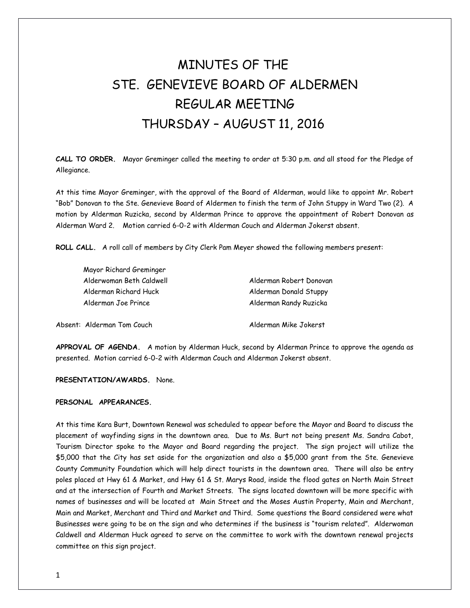## MINUTES OF THE STE. GENEVIEVE BOARD OF ALDERMEN REGULAR MEETING THURSDAY – AUGUST 11, 2016

**CALL TO ORDER.** Mayor Greminger called the meeting to order at 5:30 p.m. and all stood for the Pledge of Allegiance.

At this time Mayor Greminger, with the approval of the Board of Alderman, would like to appoint Mr. Robert "Bob" Donovan to the Ste. Genevieve Board of Aldermen to finish the term of John Stuppy in Ward Two (2). A motion by Alderman Ruzicka, second by Alderman Prince to approve the appointment of Robert Donovan as Alderman Ward 2. Motion carried 6-0-2 with Alderman Couch and Alderman Jokerst absent.

**ROLL CALL.** A roll call of members by City Clerk Pam Meyer showed the following members present:

| Mayor Richard Greminger                      |                                                  |
|----------------------------------------------|--------------------------------------------------|
| Alderwoman Beth Caldwell                     | Alderman Robert Donovan                          |
| Alderman Richard Huck<br>Alderman Joe Prince | Alderman Donald Stuppy<br>Alderman Randy Ruzicka |
|                                              |                                                  |

**APPROVAL OF AGENDA.** A motion by Alderman Huck, second by Alderman Prince to approve the agenda as presented. Motion carried 6-0-2 with Alderman Couch and Alderman Jokerst absent.

**PRESENTATION/AWARDS.** None.

## **PERSONAL APPEARANCES.**

At this time Kara Burt, Downtown Renewal was scheduled to appear before the Mayor and Board to discuss the placement of wayfinding signs in the downtown area. Due to Ms. Burt not being present Ms. Sandra Cabot, Tourism Director spoke to the Mayor and Board regarding the project. The sign project will utilize the \$5,000 that the City has set aside for the organization and also a \$5,000 grant from the Ste. Genevieve County Community Foundation which will help direct tourists in the downtown area. There will also be entry poles placed at Hwy 61 & Market, and Hwy 61 & St. Marys Road, inside the flood gates on North Main Street and at the intersection of Fourth and Market Streets. The signs located downtown will be more specific with names of businesses and will be located at Main Street and the Moses Austin Property, Main and Merchant, Main and Market, Merchant and Third and Market and Third. Some questions the Board considered were what Businesses were going to be on the sign and who determines if the business is "tourism related". Alderwoman Caldwell and Alderman Huck agreed to serve on the committee to work with the downtown renewal projects committee on this sign project.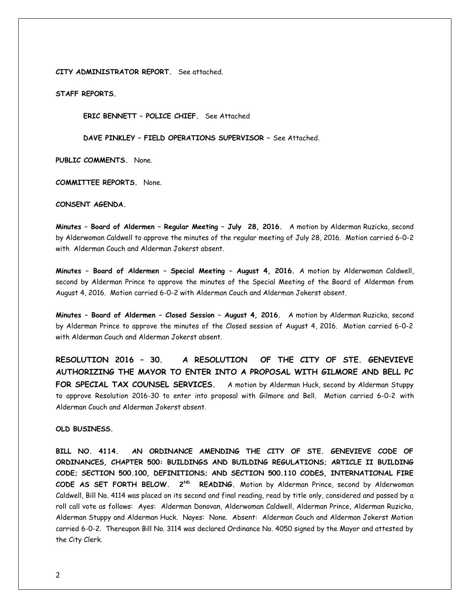**CITY ADMINISTRATOR REPORT.** See attached.

**STAFF REPORTS.** 

**ERIC BENNETT – POLICE CHIEF.** See Attached

**DAVE PINKLEY – FIELD OPERATIONS SUPERVISOR –** See Attached.

**PUBLIC COMMENTS.** None.

**COMMITTEE REPORTS.** None.

**CONSENT AGENDA.** 

**Minutes – Board of Aldermen – Regular Meeting – July 28, 2016.** A motion by Alderman Ruzicka, second by Alderwoman Caldwell to approve the minutes of the regular meeting of July 28, 2016. Motion carried 6-0-2 with Alderman Couch and Alderman Jokerst absent.

**Minutes – Board of Aldermen – Special Meeting – August 4, 2016.** A motion by Alderwoman Caldwell, second by Alderman Prince to approve the minutes of the Special Meeting of the Board of Alderman from August 4, 2016. Motion carried 6-0-2 with Alderman Couch and Alderman Jokerst absent.

**Minutes – Board of Aldermen – Closed Session – August 4, 2016.** A motion by Alderman Ruzicka, second by Alderman Prince to approve the minutes of the Closed session of August 4, 2016. Motion carried 6-0-2 with Alderman Couch and Alderman Jokerst absent.

**RESOLUTION 2016 – 30. A RESOLUTION OF THE CITY OF STE. GENEVIEVE AUTHORIZING THE MAYOR TO ENTER INTO A PROPOSAL WITH GILMORE AND BELL PC FOR SPECIAL TAX COUNSEL SERVICES.** A motion by Alderman Huck, second by Alderman Stuppy to approve Resolution 2016-30 to enter into proposal with Gilmore and Bell. Motion carried 6-0-2 with Alderman Couch and Alderman Jokerst absent.

**OLD BUSINESS.** 

**BILL NO. 4114. AN ORDINANCE AMENDING THE CITY OF STE. GENEVIEVE CODE OF ORDINANCES, CHAPTER 500: BUILDINGS AND BUILDING REGULATIONS; ARTICLE II BUILDING CODE; SECTION 500.100, DEFINITIONS; AND SECTION 500.110 CODES, INTERNATIONAL FIRE CODE AS SET FORTH BELOW. 2ND READING.** Motion by Alderman Prince, second by Alderwoman Caldwell, Bill No. 4114 was placed on its second and final reading, read by title only, considered and passed by a roll call vote as follows: Ayes: Alderman Donovan, Alderwoman Caldwell, Alderman Prince, Alderman Ruzicka, Alderman Stuppy and Alderman Huck. Nayes: None. Absent: Alderman Couch and Alderman Jokerst Motion carried 6-0-2. Thereupon Bill No. 3114 was declared Ordinance No. 4050 signed by the Mayor and attested by the City Clerk.